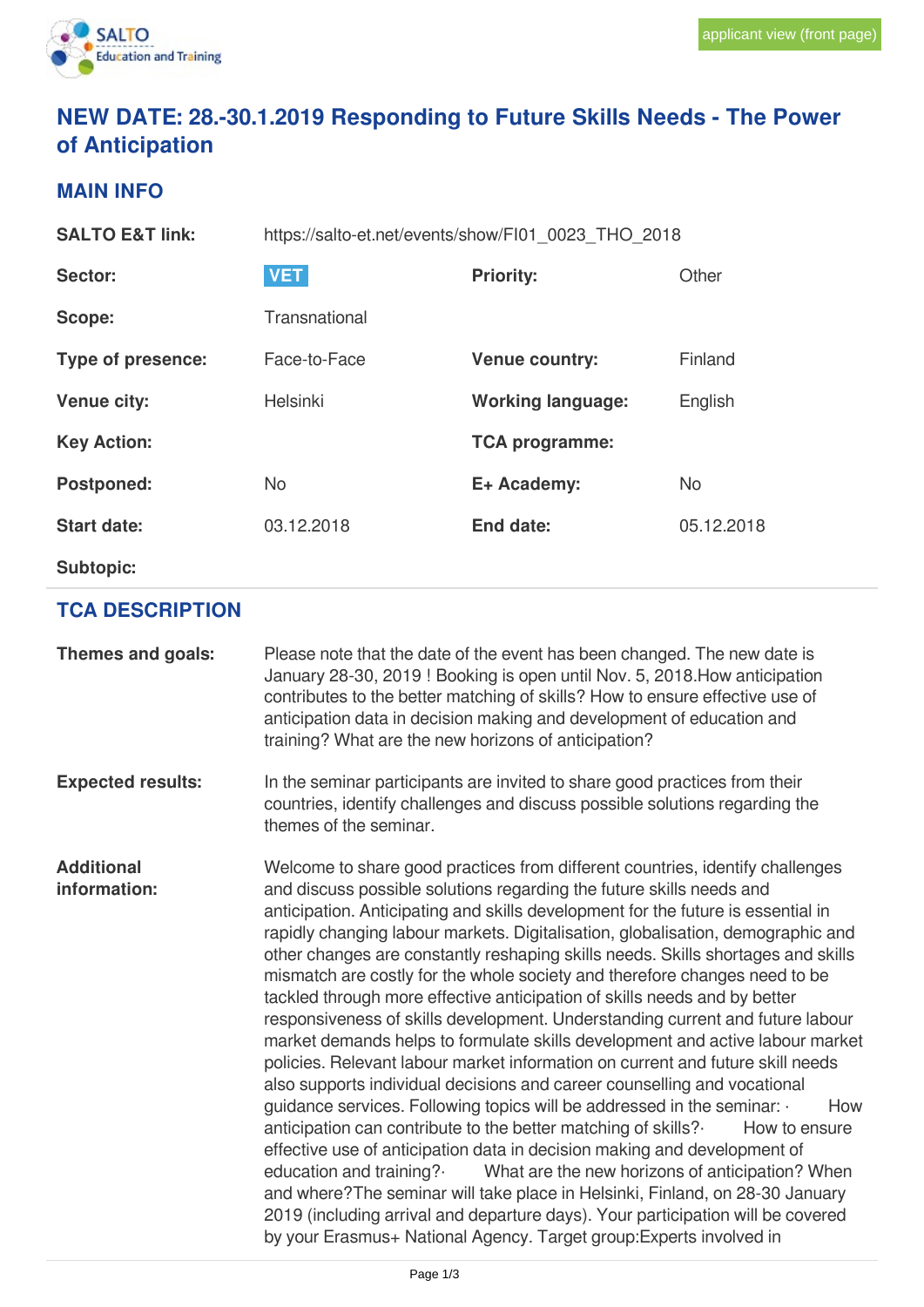

# **NEW DATE: 28.-30.1.2019 Responding to Future Skills Needs - The Power of Anticipation**

#### **MAIN INFO**

| <b>SALTO E&amp;T link:</b> | https://salto-et.net/events/show/FI01 0023 THO 2018 |                          |            |  |
|----------------------------|-----------------------------------------------------|--------------------------|------------|--|
| <b>Sector:</b>             | <b>VET</b>                                          | <b>Priority:</b>         | Other      |  |
| Scope:                     | Transnational                                       |                          |            |  |
| Type of presence:          | Face-to-Face                                        | <b>Venue country:</b>    | Finland    |  |
| <b>Venue city:</b>         | Helsinki                                            | <b>Working language:</b> | English    |  |
| <b>Key Action:</b>         |                                                     | <b>TCA programme:</b>    |            |  |
| <b>Postponed:</b>          | <b>No</b>                                           | E+ Academy:              | <b>No</b>  |  |
| <b>Start date:</b>         | 03.12.2018                                          | End date:                | 05.12.2018 |  |
| <b>Subtopic:</b>           |                                                     |                          |            |  |

## **TCA DESCRIPTION**

| Themes and goals:                 | Please note that the date of the event has been changed. The new date is<br>January 28-30, 2019 ! Booking is open until Nov. 5, 2018. How anticipation<br>contributes to the better matching of skills? How to ensure effective use of<br>anticipation data in decision making and development of education and<br>training? What are the new horizons of anticipation?                                                                                                                                                                                                                                                                                                                                                                                                                                                                                                                                                                                                                                                                                                                                                                                                                                                                                                                                                                                                                                                                                                              |
|-----------------------------------|--------------------------------------------------------------------------------------------------------------------------------------------------------------------------------------------------------------------------------------------------------------------------------------------------------------------------------------------------------------------------------------------------------------------------------------------------------------------------------------------------------------------------------------------------------------------------------------------------------------------------------------------------------------------------------------------------------------------------------------------------------------------------------------------------------------------------------------------------------------------------------------------------------------------------------------------------------------------------------------------------------------------------------------------------------------------------------------------------------------------------------------------------------------------------------------------------------------------------------------------------------------------------------------------------------------------------------------------------------------------------------------------------------------------------------------------------------------------------------------|
| <b>Expected results:</b>          | In the seminar participants are invited to share good practices from their<br>countries, identify challenges and discuss possible solutions regarding the<br>themes of the seminar.                                                                                                                                                                                                                                                                                                                                                                                                                                                                                                                                                                                                                                                                                                                                                                                                                                                                                                                                                                                                                                                                                                                                                                                                                                                                                                  |
| <b>Additional</b><br>information: | Welcome to share good practices from different countries, identify challenges<br>and discuss possible solutions regarding the future skills needs and<br>anticipation. Anticipating and skills development for the future is essential in<br>rapidly changing labour markets. Digitalisation, globalisation, demographic and<br>other changes are constantly reshaping skills needs. Skills shortages and skills<br>mismatch are costly for the whole society and therefore changes need to be<br>tackled through more effective anticipation of skills needs and by better<br>responsiveness of skills development. Understanding current and future labour<br>market demands helps to formulate skills development and active labour market<br>policies. Relevant labour market information on current and future skill needs<br>also supports individual decisions and career counselling and vocational<br>guidance services. Following topics will be addressed in the seminar: .<br>How<br>anticipation can contribute to the better matching of skills?<br>How to ensure<br>effective use of anticipation data in decision making and development of<br>education and training?<br>What are the new horizons of anticipation? When<br>and where? The seminar will take place in Helsinki, Finland, on 28-30 January<br>2019 (including arrival and departure days). Your participation will be covered<br>by your Erasmus+ National Agency. Target group: Experts involved in |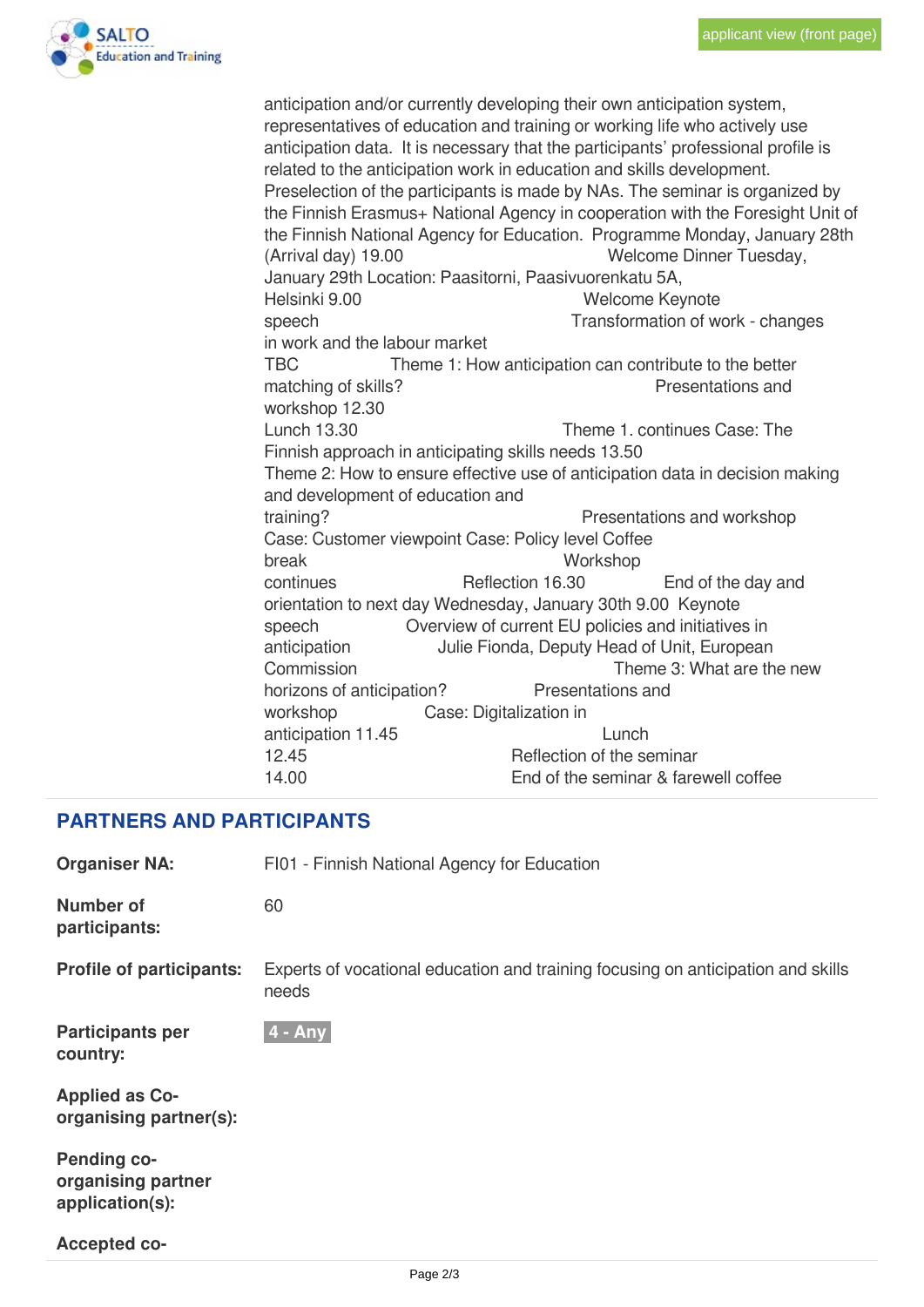

anticipation and/or currently developing their own anticipation system, representatives of education and training or working life who actively use anticipation data. It is necessary that the participants' professional profile is related to the anticipation work in education and skills development. Preselection of the participants is made by NAs. The seminar is organized by the Finnish Erasmus+ National Agency in cooperation with the Foresight Unit of the Finnish National Agency for Education. Programme Monday, January 28th (Arrival day) 19.00 Welcome Dinner Tuesday, January 29th Location: Paasitorni, Paasivuorenkatu 5A, Helsinki 9.00 Welcome Keynote speech Transformation of work - changes in work and the labour market TBC Theme 1: How anticipation can contribute to the better matching of skills? **Presentations** and workshop 12.30 Lunch 13.30 Theme 1. continues Case: The Finnish approach in anticipating skills needs 13.50 Theme 2: How to ensure effective use of anticipation data in decision making and development of education and training? **Presentations and workshop** Case: Customer viewpoint Case: Policy level Coffee break Workshop continues Reflection 16.30 End of the day and orientation to next day Wednesday, January 30th 9.00 Keynote speech Overview of current EU policies and initiatives in anticipation Julie Fionda, Deputy Head of Unit, European Commission Theme 3: What are the new horizons of anticipation? Presentations and workshop Case: Digitalization in anticipation 11.45 Lunch 12.45 Reflection of the seminar 14.00 End of the seminar & farewell coffee

### **PARTNERS AND PARTICIPANTS**

| <b>Organiser NA:</b>                                        | FI01 - Finnish National Agency for Education                                              |  |  |
|-------------------------------------------------------------|-------------------------------------------------------------------------------------------|--|--|
| <b>Number of</b><br>participants:                           | 60                                                                                        |  |  |
| <b>Profile of participants:</b>                             | Experts of vocational education and training focusing on anticipation and skills<br>needs |  |  |
| <b>Participants per</b><br>country:                         | $4 - Any$                                                                                 |  |  |
| <b>Applied as Co-</b><br>organising partner(s):             |                                                                                           |  |  |
| <b>Pending co-</b><br>organising partner<br>application(s): |                                                                                           |  |  |
| <b>Accepted co-</b>                                         |                                                                                           |  |  |